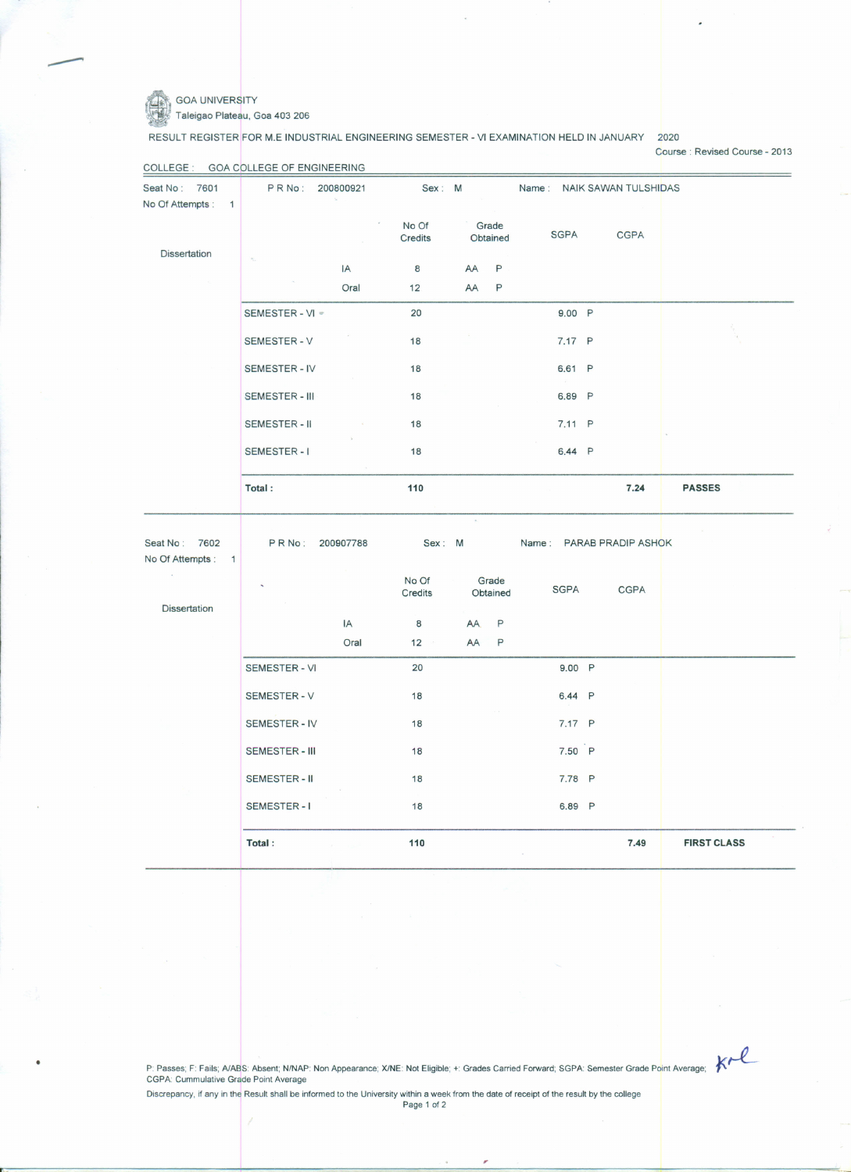

---

rc

## GOA UNIVERSITY Taleigao Plateau, Goa 403 206

RESULT REGISTER FOR M.E INDUSTRIAL ENGINEERING SEMESTER - VI EXAMINATION HELD IN JANUARY 2020

Course: Revised Course - 2013

| Seat No: 7601<br>No Of Attempts:<br>$\overline{1}$ | PRNo:<br>200800921    |            | Sex: M           |                     | Name: NAIK SAWAN TULSHIDAS |                          |               |  |
|----------------------------------------------------|-----------------------|------------|------------------|---------------------|----------------------------|--------------------------|---------------|--|
|                                                    |                       |            | No Of<br>Credits | Grade<br>Obtained   | <b>SGPA</b>                | <b>CGPA</b>              |               |  |
| <b>Dissertation</b>                                |                       | IA         | 8                | P<br>AA             |                            |                          |               |  |
|                                                    |                       | Oral       | 12               | P<br><b>AA</b>      |                            |                          |               |  |
|                                                    | SEMESTER - VI *       |            | 20               |                     | 9.00 P                     |                          |               |  |
|                                                    | <b>SEMESTER - V</b>   |            | 18               |                     | 7.17 P                     |                          |               |  |
|                                                    | SEMESTER - IV         |            | 18               |                     | 6.61 P                     |                          |               |  |
|                                                    | SEMESTER - III        |            | 18               |                     | 6.89 P                     |                          |               |  |
|                                                    | SEMESTER-II           |            | 18               |                     | 7.11 P                     |                          |               |  |
|                                                    | <b>SEMESTER-1</b>     |            | 18               |                     | 6.44 P                     |                          |               |  |
|                                                    |                       |            |                  |                     |                            | 7.24                     | <b>PASSES</b> |  |
|                                                    | Total:                |            | 110              |                     |                            |                          |               |  |
| Seat No: 7602<br>No Of Attempts: 1                 | PRNo:                 | 200907788  | Sex: M           |                     |                            | Name: PARAB PRADIP ASHOK |               |  |
|                                                    |                       |            | No Of<br>Credits | Grade<br>Obtained   | <b>SGPA</b>                | <b>CGPA</b>              |               |  |
| <b>Dissertation</b>                                |                       |            |                  |                     |                            |                          |               |  |
|                                                    |                       | IA<br>Oral | 8<br>12          | P<br>AA.<br>AA<br>P |                            |                          |               |  |
|                                                    | <b>SEMESTER - VI</b>  |            | 20               |                     | 9.00 P                     |                          |               |  |
|                                                    | <b>SEMESTER - V</b>   |            | 18               |                     | 6.44 P                     |                          |               |  |
|                                                    | SEMESTER - IV         |            | 18               |                     | 7.17 P                     |                          |               |  |
|                                                    | <b>SEMESTER - III</b> |            | 18               |                     | 7.50 P                     |                          |               |  |
|                                                    | <b>SEMESTER - II</b>  |            | 18               |                     | 7.78 P                     |                          |               |  |
|                                                    | <b>SEMESTER-1</b>     |            | 18               |                     | 6.89 P                     |                          |               |  |

P: Passes; F: Fails; A/AB<mark>S: Absent; N/NAP: Non Appearance; X/NE: Not Eligible; +: Grades Carried Forward; SGPA: Semester Grade Po<mark>i</mark>nt Averag<br>CGPA: Cummulative Grade Point Average</mark>

Discrepancy, if any in the Result shall be informed to the University within a week from the date of receipt of the result by the colleg<br>Page 1 of 2